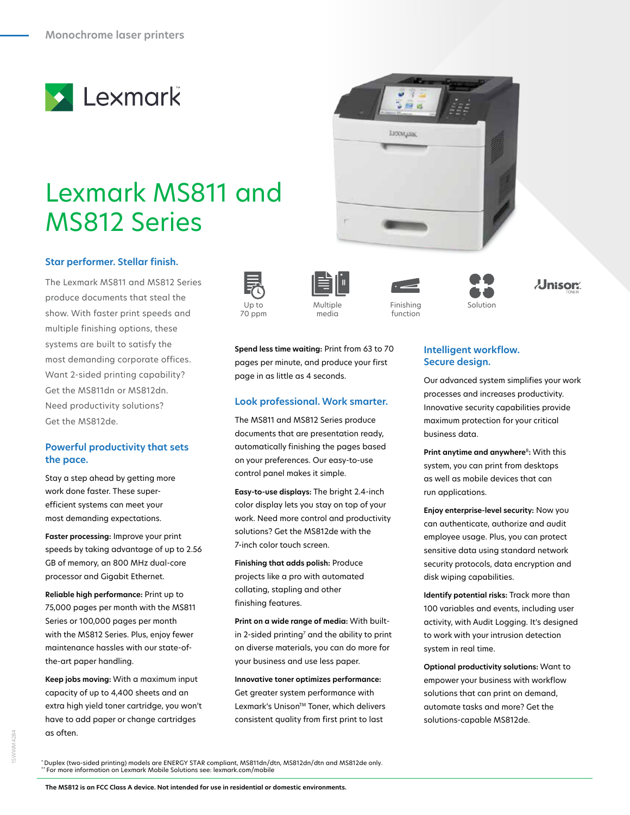

# Lexmark MS811 and MS812 Series

#### **Star performer. Stellar finish.** Up to 35ppm Network Eco-mode Security USB Security USB Security USB Security USB Security USB Security USB Security USB Security USB Security USB Security USB Security USB Security USB Security USB Security USB Security US

The Lexmark MS811 and MS812 Series produce documents that steal the show. With faster print speeds and multiple finishing options, these systems are built to satisfy the most demanding corporate offices. Want 2-sided printing capability? Get the MS811dn or MS812dn. Need productivity solutions? Get the MS812de. Color in the Up to Multiple the Finishing the Solution Solution (Solution and Multiple

## **Powerful productivity that sets the pace.**

Stay a step ahead by getting more work done faster. These superefficient systems can meet your most demanding expectations.

**Faster processing:** Improve your print speeds by taking advantage of up to 2.56 GB of memory, an 800 MHz dual-core processor and Gigabit Ethernet.

**Reliable high performance:** Print up to 75,000 pages per month with the MS811 Series or 100,000 pages per month with the MS812 Series. Plus, enjoy fewer maintenance hassles with our state-ofthe-art paper handling.

**Keep jobs moving:** With a maximum input capacity of up to 4,400 sheets and an extra high yield toner cartridge, you won't have to add paper or change cartridges as often.







page in as little as 4 seconds.

**Spend less time waiting:** Print from 63 to 70 pages per minute, and produce your first

**Look professional. Work smarter.** The MS811 and MS812 Series produce documents that are presentation ready, automatically finishing the pages based on your preferences. Our easy-to-use control panel makes it simple.

**Easy-to-use displays:** The bright 2.4-inch color display lets you stay on top of your work. Need more control and productivity solutions? Get the MS812de with the

7-inch color touch screen.

finishing features.

**Finishing that adds polish:** Produce projects like a pro with automated collating, stapling and other

**Print on a wide range of media:** With builtin 2-sided printing $^7$  and the ability to print on diverse materials, you can do more for your business and use less paper.

**Innovative toner optimizes performance:** Get greater system performance with Lexmark's Unison™ Toner, which delivers consistent quality from first print to last





function





**Secure design.** Our advanced system simplifies your work

**Intelligent workflow.** 

processes and increases productivity. Innovative security capabilities provide maximum protection for your critical business data.

**Print anytime and anywhere**<sup>8</sup>**:** With this system, you can print from desktops as well as mobile devices that can run applications.

**Enjoy enterprise-level security:** Now you can authenticate, authorize and audit employee usage. Plus, you can protect sensitive data using standard network security protocols, data encryption and disk wiping capabilities.

**Identify potential risks:** Track more than 100 variables and events, including user activity, with Audit Logging. It's designed to work with your intrusion detection system in real time.

**Optional productivity solutions:** Want to empower your business with workflow solutions that can print on demand, automate tasks and more? Get the solutions-capable MS812de.

\* Duplex (two-sided printing) models are ENERGY STAR compliant, MS811dn/dtn, MS812dn/dtn and MS812de only. \*\* For more information on Lexmark Mobile Solutions see: lexmark.com/mobile